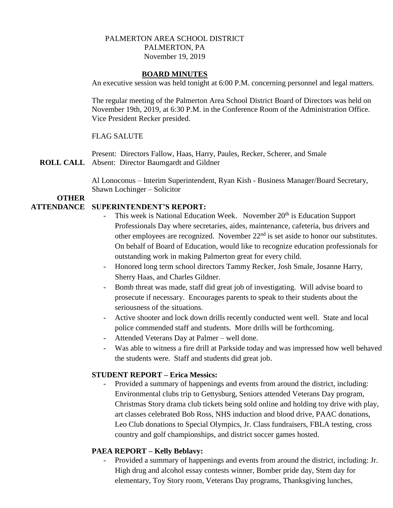# PALMERTON AREA SCHOOL DISTRICT PALMERTON, PA November 19, 2019

#### **BOARD MINUTES**

An executive session was held tonight at 6:00 P.M. concerning personnel and legal matters.

The regular meeting of the Palmerton Area School District Board of Directors was held on November 19th, 2019, at 6:30 P.M. in the Conference Room of the Administration Office. Vice President Recker presided.

### FLAG SALUTE

**ROLL CALL** Absent: Director Baumgardt and Gildner Present: Directors Fallow, Haas, Harry, Paules, Recker, Scherer, and Smale

> Al Lonoconus – Interim Superintendent, Ryan Kish - Business Manager/Board Secretary, Shawn Lochinger – Solicitor

# **OTHER**

### **ATTENDANCE SUPERINTENDENT'S REPORT:**

- This week is National Education Week. November 20<sup>th</sup> is Education Support Professionals Day where secretaries, aides, maintenance, cafeteria, bus drivers and other employees are recognized. November  $22<sup>nd</sup>$  is set aside to honor our substitutes. On behalf of Board of Education, would like to recognize education professionals for outstanding work in making Palmerton great for every child.
- Honored long term school directors Tammy Recker, Josh Smale, Josanne Harry, Sherry Haas, and Charles Gildner.
- Bomb threat was made, staff did great job of investigating. Will advise board to prosecute if necessary. Encourages parents to speak to their students about the seriousness of the situations.
- Active shooter and lock down drills recently conducted went well. State and local police commended staff and students. More drills will be forthcoming.
- Attended Veterans Day at Palmer well done.
- Was able to witness a fire drill at Parkside today and was impressed how well behaved the students were. Staff and students did great job.

#### **STUDENT REPORT – Erica Messics:**

Provided a summary of happenings and events from around the district, including: Environmental clubs trip to Gettysburg, Seniors attended Veterans Day program, Christmas Story drama club tickets being sold online and holding toy drive with play, art classes celebrated Bob Ross, NHS induction and blood drive, PAAC donations, Leo Club donations to Special Olympics, Jr. Class fundraisers, FBLA testing, cross country and golf championships, and district soccer games hosted.

#### **PAEA REPORT – Kelly Beblavy:**

Provided a summary of happenings and events from around the district, including: Jr. High drug and alcohol essay contests winner, Bomber pride day, Stem day for elementary, Toy Story room, Veterans Day programs, Thanksgiving lunches,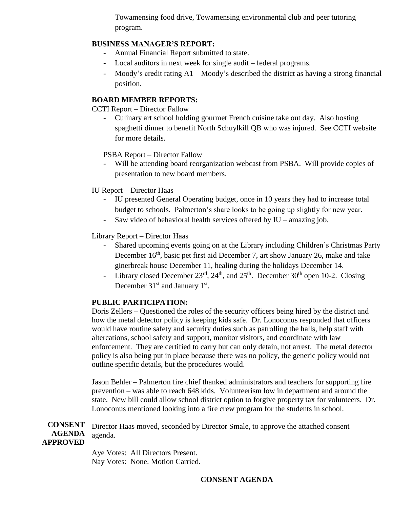Towamensing food drive, Towamensing environmental club and peer tutoring program.

# **BUSINESS MANAGER'S REPORT:**

- Annual Financial Report submitted to state.
- Local auditors in next week for single audit federal programs.
- Moody's credit rating  $A1 -$ Moody's described the district as having a strong financial position.

## **BOARD MEMBER REPORTS:**

CCTI Report – Director Fallow

- Culinary art school holding gourmet French cuisine take out day. Also hosting spaghetti dinner to benefit North Schuylkill QB who was injured. See CCTI website for more details.

PSBA Report – Director Fallow

- Will be attending board reorganization webcast from PSBA. Will provide copies of presentation to new board members.
- IU Report Director Haas
	- IU presented General Operating budget, once in 10 years they had to increase total budget to schools. Palmerton's share looks to be going up slightly for new year.
	- Saw video of behavioral health services offered by  $IU$  amazing job.

Library Report – Director Haas

- Shared upcoming events going on at the Library including Children's Christmas Party December 16<sup>th</sup>, basic pet first aid December 7, art show January 26, make and take ginerbreak house December 11, healing during the holidays December 14.
- Library closed December  $23<sup>rd</sup>$ ,  $24<sup>th</sup>$ , and  $25<sup>th</sup>$ . December  $30<sup>th</sup>$  open 10-2. Closing December  $31<sup>st</sup>$  and January  $1<sup>st</sup>$ .

#### **PUBLIC PARTICIPATION:**

Doris Zellers – Questioned the roles of the security officers being hired by the district and how the metal detector policy is keeping kids safe. Dr. Lonoconus responded that officers would have routine safety and security duties such as patrolling the halls, help staff with altercations, school safety and support, monitor visitors, and coordinate with law enforcement. They are certified to carry but can only detain, not arrest. The metal detector policy is also being put in place because there was no policy, the generic policy would not outline specific details, but the procedures would.

Jason Behler – Palmerton fire chief thanked administrators and teachers for supporting fire prevention – was able to reach 648 kids. Volunteerism low in department and around the state. New bill could allow school district option to forgive property tax for volunteers. Dr. Lonoconus mentioned looking into a fire crew program for the students in school.

**CONSENT AGENDA APPROVED** Director Haas moved, seconded by Director Smale, to approve the attached consent agenda.

> Aye Votes: All Directors Present. Nay Votes: None. Motion Carried.

# **CONSENT AGENDA**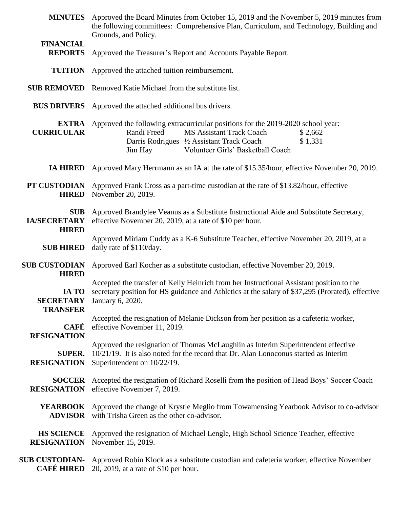| <b>MINUTES</b>                                    | Approved the Board Minutes from October 15, 2019 and the November 5, 2019 minutes from<br>the following committees: Comprehensive Plan, Curriculum, and Technology, Building and<br>Grounds, and Policy.                                              |
|---------------------------------------------------|-------------------------------------------------------------------------------------------------------------------------------------------------------------------------------------------------------------------------------------------------------|
| <b>FINANCIAL</b><br><b>REPORTS</b>                | Approved the Treasurer's Report and Accounts Payable Report.                                                                                                                                                                                          |
| <b>TUITION</b>                                    | Approved the attached tuition reimbursement.                                                                                                                                                                                                          |
| <b>SUB REMOVED</b>                                | Removed Katie Michael from the substitute list.                                                                                                                                                                                                       |
| <b>BUS DRIVERS</b>                                | Approved the attached additional bus drivers.                                                                                                                                                                                                         |
| <b>EXTRA</b><br><b>CURRICULAR</b>                 | Approved the following extracurricular positions for the 2019-2020 school year:<br>Randi Freed<br><b>MS Assistant Track Coach</b><br>\$2,662<br>Darris Rodrigues 1/2 Assistant Track Coach<br>\$1,331<br>Volunteer Girls' Basketball Coach<br>Jim Hay |
| <b>IA HIRED</b>                                   | Approved Mary Herrmann as an IA at the rate of \$15.35/hour, effective November 20, 2019.                                                                                                                                                             |
| PT CUSTODIAN<br><b>HIRED</b>                      | Approved Frank Cross as a part-time custodian at the rate of \$13.82/hour, effective<br>November 20, 2019.                                                                                                                                            |
| <b>SUB</b><br><b>IA/SECRETARY</b><br><b>HIRED</b> | Approved Brandylee Veanus as a Substitute Instructional Aide and Substitute Secretary,<br>effective November 20, 2019, at a rate of \$10 per hour.                                                                                                    |
| <b>SUB HIRED</b>                                  | Approved Miriam Cuddy as a K-6 Substitute Teacher, effective November 20, 2019, at a<br>daily rate of \$110/day.                                                                                                                                      |
| <b>SUB CUSTODIAN</b><br><b>HIRED</b>              | Approved Earl Kocher as a substitute custodian, effective November 20, 2019.                                                                                                                                                                          |
| IA TO<br><b>TRANSFER</b>                          | Accepted the transfer of Kelly Heinrich from her Instructional Assistant position to the<br>secretary position for HS guidance and Athletics at the salary of \$37,295 (Prorated), effective<br><b>SECRETARY</b> January 6, 2020.                     |
| CAFÉ<br><b>RESIGNATION</b>                        | Accepted the resignation of Melanie Dickson from her position as a cafeteria worker,<br>effective November 11, 2019.                                                                                                                                  |
| <b>SUPER.</b><br><b>RESIGNATION</b>               | Approved the resignation of Thomas McLaughlin as Interim Superintendent effective<br>$10/21/19$ . It is also noted for the record that Dr. Alan Lonoconus started as Interim<br>Superintendent on 10/22/19.                                           |
| <b>SOCCER</b><br><b>RESIGNATION</b>               | Accepted the resignation of Richard Roselli from the position of Head Boys' Soccer Coach<br>effective November 7, 2019.                                                                                                                               |
| <b>YEARBOOK</b><br><b>ADVISOR</b>                 | Approved the change of Krystle Meglio from Towamensing Yearbook Advisor to co-advisor<br>with Trisha Green as the other co-advisor.                                                                                                                   |
| <b>HS SCIENCE</b><br><b>RESIGNATION</b>           | Approved the resignation of Michael Lengle, High School Science Teacher, effective<br>November 15, 2019.                                                                                                                                              |
| <b>SUB CUSTODIAN-</b><br><b>CAFÉ HIRED</b>        | Approved Robin Klock as a substitute custodian and cafeteria worker, effective November<br>20, 2019, at a rate of \$10 per hour.                                                                                                                      |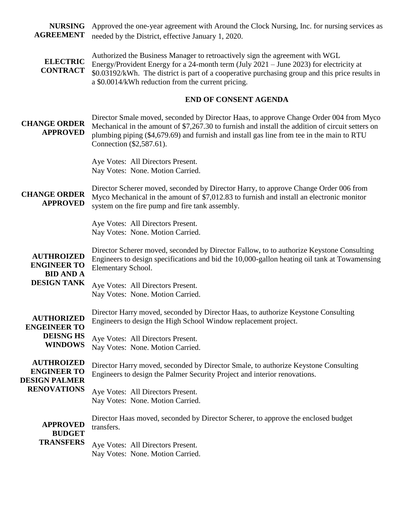**NURSING AGREEMENT** Approved the one-year agreement with Around the Clock Nursing, Inc. for nursing services as needed by the District, effective January 1, 2020.

**ELECTRIC CONTRACT** Authorized the Business Manager to retroactively sign the agreement with WGL Energy/Provident Energy for a 24-month term (July 2021 – June 2023) for electricity at \$0.03192/kWh. The district is part of a cooperative purchasing group and this price results in a \$0.0014/kWh reduction from the current pricing.

#### **END OF CONSENT AGENDA**

**CHANGE ORDER APPROVED** Director Smale moved, seconded by Director Haas, to approve Change Order 004 from Myco Mechanical in the amount of \$7,267.30 to furnish and install the addition of circuit setters on plumbing piping (\$4,679.69) and furnish and install gas line from tee in the main to RTU Connection (\$2,587.61).

> Aye Votes: All Directors Present. Nay Votes: None. Motion Carried.

**CHANGE ORDER APPROVED** Director Scherer moved, seconded by Director Harry, to approve Change Order 006 from Myco Mechanical in the amount of \$7,012.83 to furnish and install an electronic monitor system on the fire pump and fire tank assembly.

> Aye Votes: All Directors Present. Nay Votes: None. Motion Carried.

**AUTHROIZED ENGINEER TO**  Director Scherer moved, seconded by Director Fallow, to to authorize Keystone Consulting Engineers to design specifications and bid the 10,000-gallon heating oil tank at Towamensing Elementary School.

#### **BID AND A DESIGN TANK**

Aye Votes: All Directors Present. Nay Votes: None. Motion Carried.

**AUTHORIZED ENGEINEER TO**  Director Harry moved, seconded by Director Haas, to authorize Keystone Consulting Engineers to design the High School Window replacement project.

**DEISNG HS WINDOWS** Aye Votes: All Directors Present. Nay Votes: None. Motion Carried.

**AUTHROIZED ENGINEER TO DESIGN PALMER RENOVATIONS**

Director Harry moved, seconded by Director Smale, to authorize Keystone Consulting Engineers to design the Palmer Security Project and interior renovations.

Aye Votes: All Directors Present. Nay Votes: None. Motion Carried.

**APPROVED BUDGET**  Director Haas moved, seconded by Director Scherer, to approve the enclosed budget transfers.

# **TRANSFERS**

Aye Votes: All Directors Present. Nay Votes: None. Motion Carried.